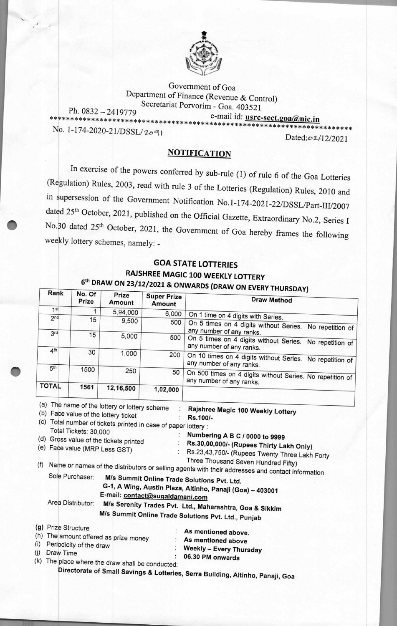

Government of Goa Department of Finance (Revenue & Control) Secretariat Porvorim - Goa. 403521

Ph. 0832 — 2419779 e-mail id: **usrc-sect.goaAnic.in \*\*\*\*\*\*\*\*\*\*\*\*\*\*\*\*\*\*\*\*\*\*\*\*\*\*\*\*\*\*\*\*\*\*\*\*\*\*\*\*\*\*\*\*\*\*\*\*\*\*\*\*\*\*\*\*\*\*\*\*\*\*\*\*\*\*\*\*\*\*\*\*** 

No. 1-174-2020-21/DSSL/2091

**Rank** 

Dated:02/12/2021

## **NOTIFICATION**

In exercise of the powers conferred by sub-rule (1) of rule 6 of the Goa Lotteries (Regulation) Rules, 2003, read with rule 3 of the Lotteries (Regulation) Rules, 2010 and in supersession of the Government Notification No.1-174-2021-22/DSSL/Part-III/2007 dated 25<sup>th</sup> October, 2021, published on the Official Gazette, Extraordinary No.2, Series I No.30 dated 25th October, 2021, the Government of Goa hereby frames the following weekly lottery schemes, namely: -

## **GOA STATE LOTTERIES RAJSHREE MAGIC 100 WEEKLY LOTTERY 6thDRAW ON 23/12/<sup>2</sup>021 & ONWARDS (DRAW ON EVERY THURSDAY)**

|                     | No. Of<br>Prize               | Prize<br>Amount                                  | <b>Super Prize</b><br>Amount                                   | <b>Draw Method</b>                                                                               |
|---------------------|-------------------------------|--------------------------------------------------|----------------------------------------------------------------|--------------------------------------------------------------------------------------------------|
| 1 <sup>st</sup>     | 1                             | 5,94,000                                         | 6,000                                                          |                                                                                                  |
| 2 <sub>nd</sub>     | 15                            | 9,500                                            | 500                                                            | On 1 time on 4 digits with Series.                                                               |
|                     |                               |                                                  |                                                                | On 5 times on 4 digits without Series.<br>No repetition of                                       |
| 3rd                 | 15                            | 5,000                                            | 500                                                            | any number of any ranks.                                                                         |
| 4 <sup>th</sup>     |                               |                                                  |                                                                | On 5 times on 4 digits without Series. No repetition of<br>any number of any ranks.              |
|                     | 30                            | 1,000                                            | 200                                                            | On 10 times on 4 digits without Series. No repetition of                                         |
|                     |                               |                                                  |                                                                | any number of any ranks.                                                                         |
| 5 <sup>th</sup>     | 1500                          | 250                                              | 50                                                             |                                                                                                  |
|                     |                               |                                                  |                                                                | On 500 times on 4 digits without Series. No repetition of<br>any number of any ranks.            |
| <b>TOTAL</b>        | 1561                          | 12,16,500                                        | 1,02,000                                                       |                                                                                                  |
|                     |                               | (a) The name of the lottery or lottery scheme    |                                                                |                                                                                                  |
|                     |                               | (b) Face value of the lottery ticket             |                                                                | Rajshree Magic 100 Weekly Lottery<br>Rs.100/-                                                    |
|                     |                               |                                                  | (c) Total number of tickets printed in case of paper lottery : |                                                                                                  |
|                     | Total Tickets: 30,000         |                                                  |                                                                |                                                                                                  |
|                     |                               | (d) Gross value of the tickets printed           |                                                                | Numbering A B C / 0000 to 9999                                                                   |
|                     |                               |                                                  |                                                                | Rs.30,00,000/- (Rupees Thirty Lakh Only)                                                         |
|                     | (e) Face value (MRP Less GST) |                                                  |                                                                | Rs.23,43,750/- (Rupees Twenty Three Lakh Forty                                                   |
|                     |                               |                                                  |                                                                | Three Thousand Seven Hundred Fifty)                                                              |
| (f)                 |                               |                                                  |                                                                | Name or names of the distributors or selling agents with their addresses and contact information |
|                     | Sole Purchaser:               |                                                  |                                                                | M/s Summit Online Trade Solutions Pvt. Ltd.                                                      |
|                     |                               |                                                  |                                                                | G-1, A Wing, Austin Plaza, Altinho, Panaji (Goa) - 403001                                        |
|                     |                               |                                                  | E-mail: contact@sugaldamani.com                                |                                                                                                  |
|                     | Area Distributor:             |                                                  |                                                                |                                                                                                  |
|                     |                               |                                                  |                                                                | M/s Serenity Trades Pvt. Ltd., Maharashtra, Goa & Sikkim                                         |
|                     |                               |                                                  |                                                                | M/s Summit Online Trade Solutions Pvt. Ltd., Punjab                                              |
|                     |                               |                                                  |                                                                |                                                                                                  |
|                     |                               |                                                  |                                                                |                                                                                                  |
| (g) Prize Structure |                               |                                                  |                                                                | As mentioned above.                                                                              |
|                     |                               | (h) The amount offered as prize money            |                                                                | As mentioned above                                                                               |
|                     | Periodicity of the draw       |                                                  |                                                                | Weekly - Every Thursday                                                                          |
| Draw Time           |                               |                                                  |                                                                | 06.30 PM onwards                                                                                 |
| (i)<br>(j)          |                               | (k) The place where the draw shall be conducted: |                                                                | Directorate of Small Savings & Lotteries, Serra Building, Altinho, Panaji, Goa                   |